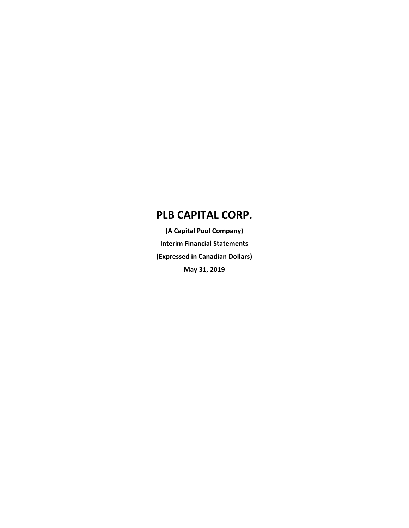**(A Capital Pool Company) Interim Financial Statements (Expressed in Canadian Dollars) May 31, 2019**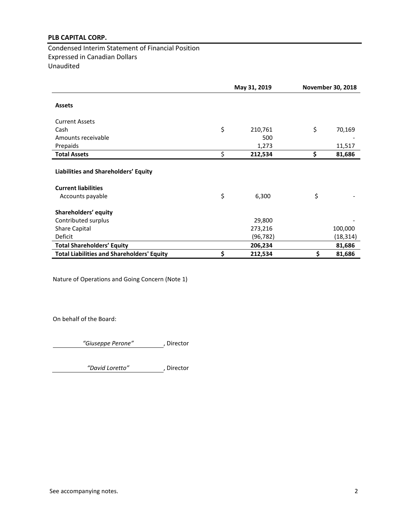Condensed Interim Statement of Financial Position Expressed in Canadian Dollars Unaudited

|                                                                    | May 31, 2019  | <b>November 30, 2018</b> |
|--------------------------------------------------------------------|---------------|--------------------------|
| <b>Assets</b>                                                      |               |                          |
| <b>Current Assets</b>                                              |               |                          |
| Cash                                                               | \$<br>210,761 | \$<br>70,169             |
| Amounts receivable                                                 | 500           |                          |
| Prepaids                                                           | 1,273         | 11,517                   |
| <b>Total Assets</b>                                                | \$<br>212,534 | \$<br>81,686             |
| Liabilities and Shareholders' Equity<br><b>Current liabilities</b> |               |                          |
| Accounts payable                                                   | \$<br>6,300   | \$                       |
| Shareholders' equity<br>Contributed surplus                        | 29,800        |                          |
| <b>Share Capital</b>                                               | 273,216       | 100,000                  |
| <b>Deficit</b>                                                     | (96,782)      | (18, 314)                |
| <b>Total Shareholders' Equity</b>                                  | 206,234       | 81,686                   |
| <b>Total Liabilities and Shareholders' Equity</b>                  | \$<br>212,534 | \$<br>81,686             |

Nature of Operations and Going Concern (Note 1)

On behalf of the Board:

*"Giuseppe Perone"* , Director

*"David Loretto"* , Director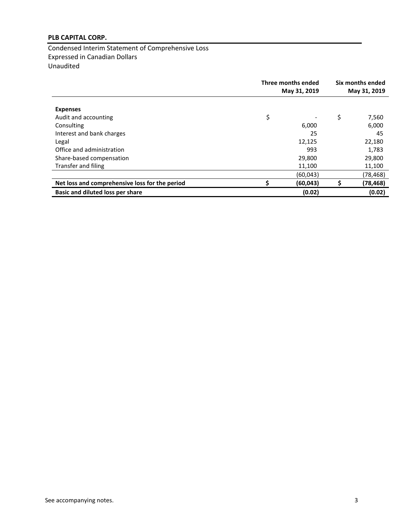Condensed Interim Statement of Comprehensive Loss Expressed in Canadian Dollars Unaudited

|                                                | Three months ended<br>May 31, 2019 |    | Six months ended<br>May 31, 2019 |  |
|------------------------------------------------|------------------------------------|----|----------------------------------|--|
| <b>Expenses</b><br>Audit and accounting        | \$                                 | \$ | 7,560                            |  |
| Consulting                                     | 6,000                              |    | 6,000                            |  |
| Interest and bank charges                      | 25                                 |    | 45                               |  |
| Legal                                          | 12,125                             |    | 22,180                           |  |
| Office and administration                      | 993                                |    | 1,783                            |  |
| Share-based compensation                       | 29,800                             |    | 29,800                           |  |
| Transfer and filing                            | 11,100                             |    | 11,100                           |  |
|                                                | (60,043)                           |    | (78,468)                         |  |
| Net loss and comprehensive loss for the period | (60,043)                           | \$ | (78,468)                         |  |
| Basic and diluted loss per share               | (0.02)                             |    | (0.02)                           |  |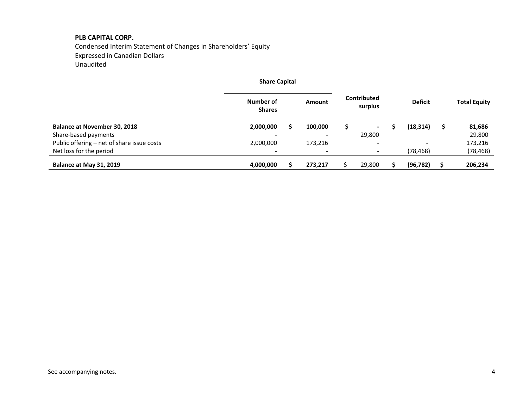Condensed Interim Statement of Changes in Shareholders' Equity Expressed in Canadian Dollars Unaudited

|                                            | <b>Share Capital</b>       |   |                          |   |                          |                          |                     |
|--------------------------------------------|----------------------------|---|--------------------------|---|--------------------------|--------------------------|---------------------|
|                                            | Number of<br><b>Shares</b> |   | Amount                   |   | Contributed<br>surplus   | <b>Deficit</b>           | <b>Total Equity</b> |
| <b>Balance at November 30, 2018</b>        | 2,000,000                  | S | 100,000                  | S |                          | (18, 314)                | \$<br>81,686        |
| Share-based payments                       |                            |   |                          |   | 29,800                   |                          | 29,800              |
| Public offering - net of share issue costs | 2,000,000                  |   | 173,216                  |   |                          | $\overline{\phantom{a}}$ | 173,216             |
| Net loss for the period                    | $\overline{\phantom{a}}$   |   | $\overline{\phantom{a}}$ |   | $\overline{\phantom{0}}$ | (78,468)                 | (78, 468)           |
| Balance at May 31, 2019                    | 4,000,000                  |   | 273,217                  |   | 29,800                   | (96, 782)                | 206,234             |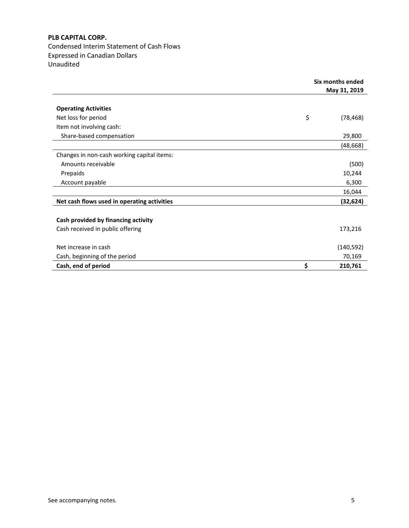Condensed Interim Statement of Cash Flows Expressed in Canadian Dollars Unaudited

|                                             | Six months ended<br>May 31, 2019 |
|---------------------------------------------|----------------------------------|
|                                             |                                  |
| <b>Operating Activities</b>                 |                                  |
| Net loss for period                         | \$<br>(78, 468)                  |
| Item not involving cash:                    |                                  |
| Share-based compensation                    | 29,800                           |
|                                             | (48,668)                         |
| Changes in non-cash working capital items:  |                                  |
| Amounts receivable                          | (500)                            |
| Prepaids                                    | 10,244                           |
| Account payable                             | 6,300                            |
|                                             | 16,044                           |
| Net cash flows used in operating activities | (32,624)                         |
|                                             |                                  |
| Cash provided by financing activity         |                                  |
| Cash received in public offering            | 173,216                          |
|                                             |                                  |
| Net increase in cash                        | (140, 592)                       |
| Cash, beginning of the period               | 70,169                           |
| Cash, end of period                         | \$<br>210,761                    |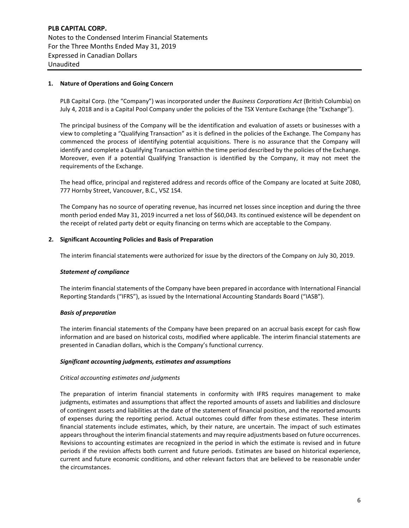**PLB CAPITAL CORP.** Notes to the Condensed Interim Financial Statements For the Three Months Ended May 31, 2019 Expressed in Canadian Dollars Unaudited

# **1. Nature of Operations and Going Concern**

PLB Capital Corp. (the "Company") was incorporated under the *Business Corporations Act* (British Columbia) on July 4, 2018 and is a Capital Pool Company under the policies of the TSX Venture Exchange (the "Exchange").

The principal business of the Company will be the identification and evaluation of assets or businesses with a view to completing a "Qualifying Transaction" as it is defined in the policies of the Exchange. The Company has commenced the process of identifying potential acquisitions. There is no assurance that the Company will identify and complete a Qualifying Transaction within the time period described by the policies of the Exchange. Moreover, even if a potential Qualifying Transaction is identified by the Company, it may not meet the requirements of the Exchange.

The head office, principal and registered address and records office of the Company are located at Suite 2080, 777 Hornby Street, Vancouver, B.C., V5Z 1S4.

The Company has no source of operating revenue, has incurred net losses since inception and during the three month period ended May 31, 2019 incurred a net loss of \$60,043. Its continued existence will be dependent on the receipt of related party debt or equity financing on terms which are acceptable to the Company.

# **2. Significant Accounting Policies and Basis of Preparation**

The interim financial statements were authorized for issue by the directors of the Company on July 30, 2019.

#### *Statement of compliance*

The interim financial statements of the Company have been prepared in accordance with International Financial Reporting Standards ("IFRS"), as issued by the International Accounting Standards Board ("IASB").

# *Basis of preparation*

The interim financial statements of the Company have been prepared on an accrual basis except for cash flow information and are based on historical costs, modified where applicable. The interim financial statements are presented in Canadian dollars, which is the Company's functional currency.

#### *Significant accounting judgments, estimates and assumptions*

# *Critical accounting estimates and judgments*

The preparation of interim financial statements in conformity with IFRS requires management to make judgments, estimates and assumptions that affect the reported amounts of assets and liabilities and disclosure of contingent assets and liabilities at the date of the statement of financial position, and the reported amounts of expenses during the reporting period. Actual outcomes could differ from these estimates. These interim financial statements include estimates, which, by their nature, are uncertain. The impact of such estimates appears throughout the interim financial statements and may require adjustments based on future occurrences. Revisions to accounting estimates are recognized in the period in which the estimate is revised and in future periods if the revision affects both current and future periods. Estimates are based on historical experience, current and future economic conditions, and other relevant factors that are believed to be reasonable under the circumstances.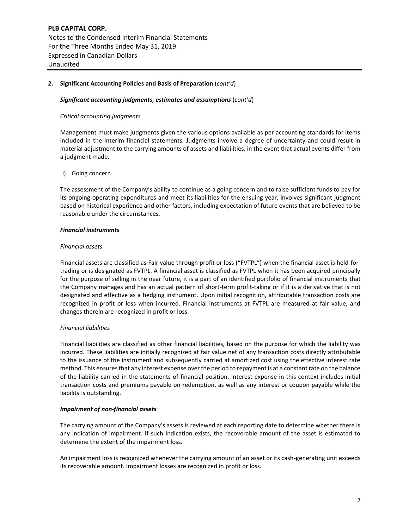# **2. Significant Accounting Policies and Basis of Preparation** (*cont'd*)

#### *Significant accounting judgments, estimates and assumptions* (*cont'd*)

#### *Critical accounting judgments*

Management must make judgments given the various options available as per accounting standards for items included in the interim financial statements. Judgments involve a degree of uncertainty and could result in material adjustment to the carrying amounts of assets and liabilities, in the event that actual events differ from a judgment made.

#### i) Going concern

The assessment of the Company's ability to continue as a going concern and to raise sufficient funds to pay for its ongoing operating expenditures and meet its liabilities for the ensuing year, involves significant judgment based on historical experience and other factors, including expectation of future events that are believed to be reasonable under the circumstances.

#### *Financial instruments*

#### *Financial assets*

Financial assets are classified as Fair value through profit or loss ("FVTPL") when the financial asset is held-fortrading or is designated as FVTPL. A financial asset is classified as FVTPL when it has been acquired principally for the purpose of selling in the near future, it is a part of an identified portfolio of financial instruments that the Company manages and has an actual pattern of short-term profit-taking or if it is a derivative that is not designated and effective as a hedging instrument. Upon initial recognition, attributable transaction costs are recognized in profit or loss when incurred. Financial instruments at FVTPL are measured at fair value, and changes therein are recognized in profit or loss.

# *Financial liabilities*

Financial liabilities are classified as other financial liabilities, based on the purpose for which the liability was incurred. These liabilities are initially recognized at fair value net of any transaction costs directly attributable to the issuance of the instrument and subsequently carried at amortized cost using the effective interest rate method. This ensures that any interest expense over the period to repayment is at a constant rate on the balance of the liability carried in the statements of financial position. Interest expense in this context includes initial transaction costs and premiums payable on redemption, as well as any interest or coupon payable while the liability is outstanding.

# *Impairment of non-financial assets*

The carrying amount of the Company's assets is reviewed at each reporting date to determine whether there is any indication of impairment. If such indication exists, the recoverable amount of the asset is estimated to determine the extent of the impairment loss.

An impairment loss is recognized whenever the carrying amount of an asset or its cash-generating unit exceeds its recoverable amount. Impairment losses are recognized in profit or loss.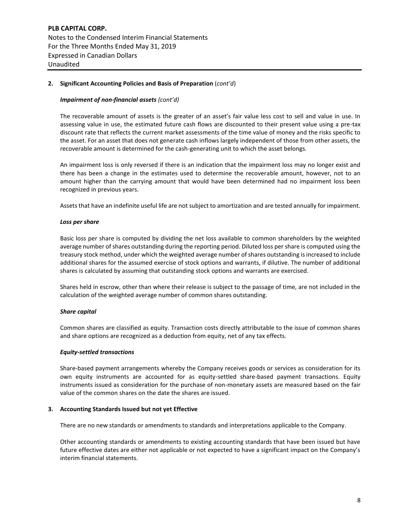**PLB CAPITAL CORP.** Notes to the Condensed Interim Financial Statements For the Three Months Ended May 31, 2019 Expressed in Canadian Dollars Unaudited

# **2. Significant Accounting Policies and Basis of Preparation** (*cont'd*)

# *Impairment of non-financial assets (cont'd)*

The recoverable amount of assets is the greater of an asset's fair value less cost to sell and value in use. In assessing value in use, the estimated future cash flows are discounted to their present value using a pre-tax discount rate that reflects the current market assessments of the time value of money and the risks specific to the asset. For an asset that does not generate cash inflows largely independent of those from other assets, the recoverable amount is determined for the cash-generating unit to which the asset belongs.

An impairment loss is only reversed if there is an indication that the impairment loss may no longer exist and there has been a change in the estimates used to determine the recoverable amount, however, not to an amount higher than the carrying amount that would have been determined had no impairment loss been recognized in previous years.

Assets that have an indefinite useful life are not subject to amortization and are tested annually for impairment.

# *Loss per share*

Basic loss per share is computed by dividing the net loss available to common shareholders by the weighted average number of shares outstanding during the reporting period. Diluted loss per share is computed using the treasury stock method, under which the weighted average number of shares outstanding is increased to include additional shares for the assumed exercise of stock options and warrants, if dilutive. The number of additional shares is calculated by assuming that outstanding stock options and warrants are exercised.

Shares held in escrow, other than where their release is subject to the passage of time, are not included in the calculation of the weighted average number of common shares outstanding.

#### *Share capital*

Common shares are classified as equity. Transaction costs directly attributable to the issue of common shares and share options are recognized as a deduction from equity, net of any tax effects.

#### *Equity-settled transactions*

Share-based payment arrangements whereby the Company receives goods or services as consideration for its own equity instruments are accounted for as equity-settled share-based payment transactions. Equity instruments issued as consideration for the purchase of non-monetary assets are measured based on the fair value of the common shares on the date the shares are issued.

#### **3. Accounting Standards Issued but not yet Effective**

There are no new standards or amendments to standards and interpretations applicable to the Company.

Other accounting standards or amendments to existing accounting standards that have been issued but have future effective dates are either not applicable or not expected to have a significant impact on the Company's interim financial statements.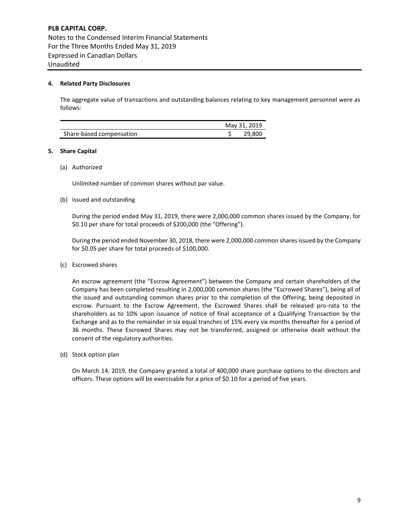# **4. Related Party Disclosures**

The aggregate value of transactions and outstanding balances relating to key management personnel were as follows:

|                          | May 31, 2019 |
|--------------------------|--------------|
| Share-based compensation | 29,800       |

#### **5. Share Capital**

(a) Authorized

Unlimited number of common shares without par value.

(b) Issued and outstanding

During the period ended May 31, 2019, there were 2,000,000 common shares issued by the Company, for \$0.10 per share for total proceeds of \$200,000 (the "Offering").

During the period ended November 30, 2018, there were 2,000,000 common sharesissued by the Company for \$0.05 per share for total proceeds of \$100,000.

(c) Escrowed shares

An escrow agreement (the "Escrow Agreement") between the Company and certain shareholders of the Company has been completed resulting in 2,000,000 common shares (the "Escrowed Shares"), being all of the issued and outstanding common shares prior to the completion of the Offering, being deposited in escrow. Pursuant to the Escrow Agreement, the Escrowed Shares shall be released pro-rata to the shareholders as to 10% upon issuance of notice of final acceptance of a Qualifying Transaction by the Exchange and as to the remainder in six equal tranches of 15% every six months thereafter for a period of 36 months. These Escrowed Shares may not be transferred, assigned or otherwise dealt without the consent of the regulatory authorities.

(d) Stock option plan

On March 14, 2019, the Company granted a total of 400,000 share purchase options to the directors and officers. These options will be exercisable for a price of \$0.10 for a period of five years.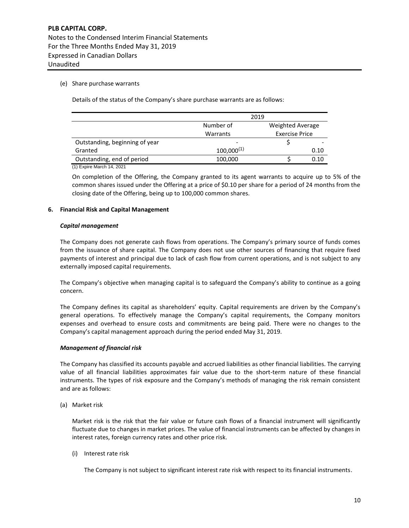# (e) Share purchase warrants

Details of the status of the Company's share purchase warrants are as follows:

|                                | 2019                              |  |                  |  |  |
|--------------------------------|-----------------------------------|--|------------------|--|--|
|                                | Number of                         |  | Weighted Average |  |  |
|                                | <b>Exercise Price</b><br>Warrants |  |                  |  |  |
| Outstanding, beginning of year |                                   |  |                  |  |  |
| Granted                        | $100,000^{(1)}$                   |  | 0.10             |  |  |
| Outstanding, end of period     | 100,000                           |  | 0.10             |  |  |

(1) Expire March 14, 2021

On completion of the Offering, the Company granted to its agent warrants to acquire up to 5% of the common shares issued under the Offering at a price of \$0.10 per share for a period of 24 months from the closing date of the Offering, being up to 100,000 common shares.

# **6. Financial Risk and Capital Management**

#### *Capital management*

The Company does not generate cash flows from operations. The Company's primary source of funds comes from the issuance of share capital. The Company does not use other sources of financing that require fixed payments of interest and principal due to lack of cash flow from current operations, and is not subject to any externally imposed capital requirements.

The Company's objective when managing capital is to safeguard the Company's ability to continue as a going concern.

The Company defines its capital as shareholders' equity. Capital requirements are driven by the Company's general operations. To effectively manage the Company's capital requirements, the Company monitors expenses and overhead to ensure costs and commitments are being paid. There were no changes to the Company's capital management approach during the period ended May 31, 2019.

# *Management of financial risk*

The Company has classified its accounts payable and accrued liabilities as other financial liabilities. The carrying value of all financial liabilities approximates fair value due to the short-term nature of these financial instruments. The types of risk exposure and the Company's methods of managing the risk remain consistent and are as follows:

(a) Market risk

Market risk is the risk that the fair value or future cash flows of a financial instrument will significantly fluctuate due to changes in market prices. The value of financial instruments can be affected by changes in interest rates, foreign currency rates and other price risk.

(i) Interest rate risk

The Company is not subject to significant interest rate risk with respect to its financial instruments.